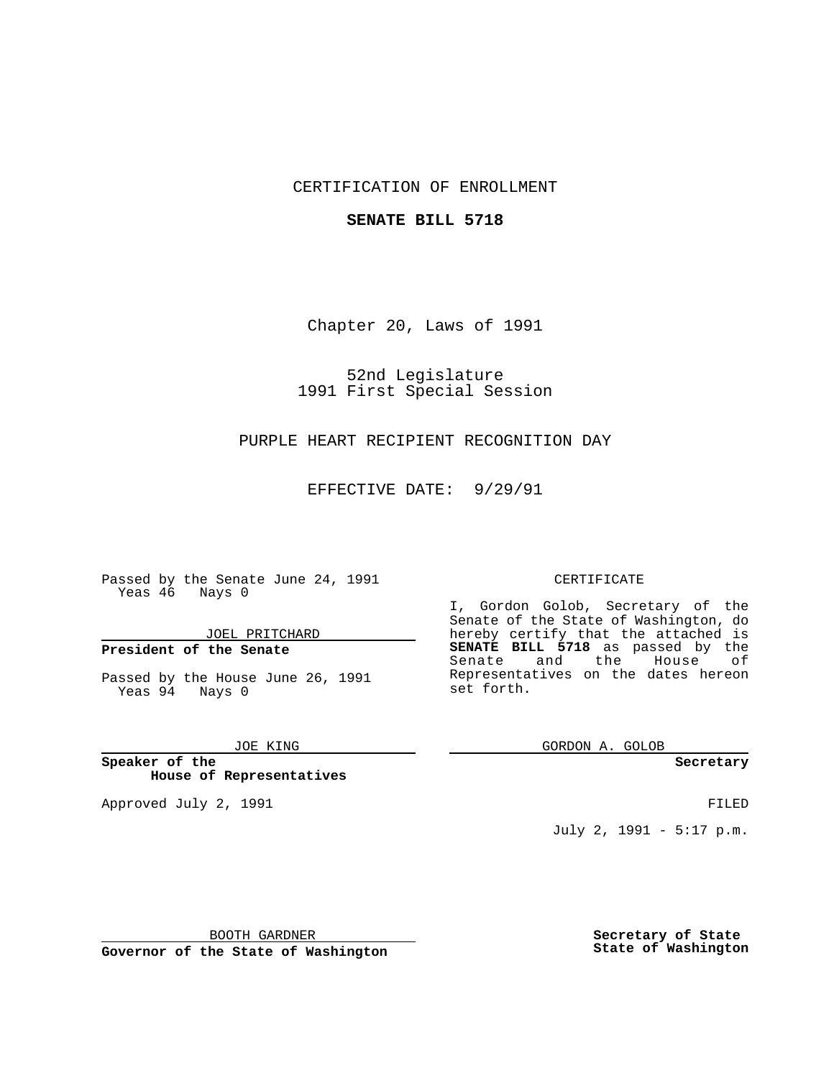## CERTIFICATION OF ENROLLMENT

#### **SENATE BILL 5718**

Chapter 20, Laws of 1991

# 52nd Legislature 1991 First Special Session

### PURPLE HEART RECIPIENT RECOGNITION DAY

EFFECTIVE DATE: 9/29/91

Passed by the Senate June 24, 1991 Yeas 46 Nays 0

### JOEL PRITCHARD

**President of the Senate**

Passed by the House June 26, 1991 Yeas 94 Nays 0

#### JOE KING

**Speaker of the House of Representatives**

Approved July 2, 1991 **FILED** 

#### CERTIFICATE

I, Gordon Golob, Secretary of the Senate of the State of Washington, do hereby certify that the attached is **SENATE BILL 5718** as passed by the Senate and the House of Representatives on the dates hereon set forth.

GORDON A. GOLOB

**Secretary**

July 2, 1991 - 5:17 p.m.

BOOTH GARDNER

**Governor of the State of Washington**

**Secretary of State State of Washington**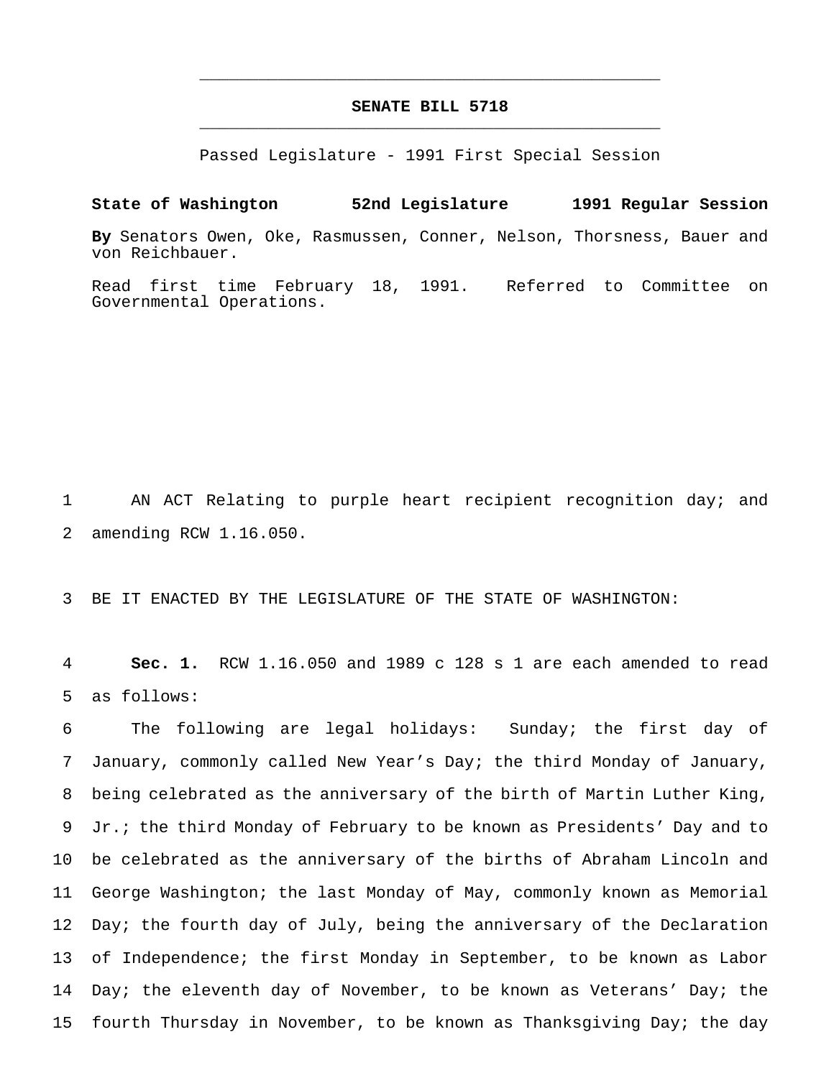## **SENATE BILL 5718** \_\_\_\_\_\_\_\_\_\_\_\_\_\_\_\_\_\_\_\_\_\_\_\_\_\_\_\_\_\_\_\_\_\_\_\_\_\_\_\_\_\_\_\_\_\_\_

\_\_\_\_\_\_\_\_\_\_\_\_\_\_\_\_\_\_\_\_\_\_\_\_\_\_\_\_\_\_\_\_\_\_\_\_\_\_\_\_\_\_\_\_\_\_\_

Passed Legislature - 1991 First Special Session

**State of Washington 52nd Legislature 1991 Regular Session By** Senators Owen, Oke, Rasmussen, Conner, Nelson, Thorsness, Bauer and von Reichbauer.

Read first time February 18, 1991. Referred to Committee on Governmental Operations.

1 AN ACT Relating to purple heart recipient recognition day; and 2 amending RCW 1.16.050.

3 BE IT ENACTED BY THE LEGISLATURE OF THE STATE OF WASHINGTON:

4 **Sec. 1.** RCW 1.16.050 and 1989 c 128 s 1 are each amended to read 5 as follows:

 The following are legal holidays: Sunday; the first day of January, commonly called New Year's Day; the third Monday of January, being celebrated as the anniversary of the birth of Martin Luther King, Jr.; the third Monday of February to be known as Presidents' Day and to be celebrated as the anniversary of the births of Abraham Lincoln and George Washington; the last Monday of May, commonly known as Memorial 12 Day; the fourth day of July, being the anniversary of the Declaration of Independence; the first Monday in September, to be known as Labor 14 Day; the eleventh day of November, to be known as Veterans' Day; the fourth Thursday in November, to be known as Thanksgiving Day; the day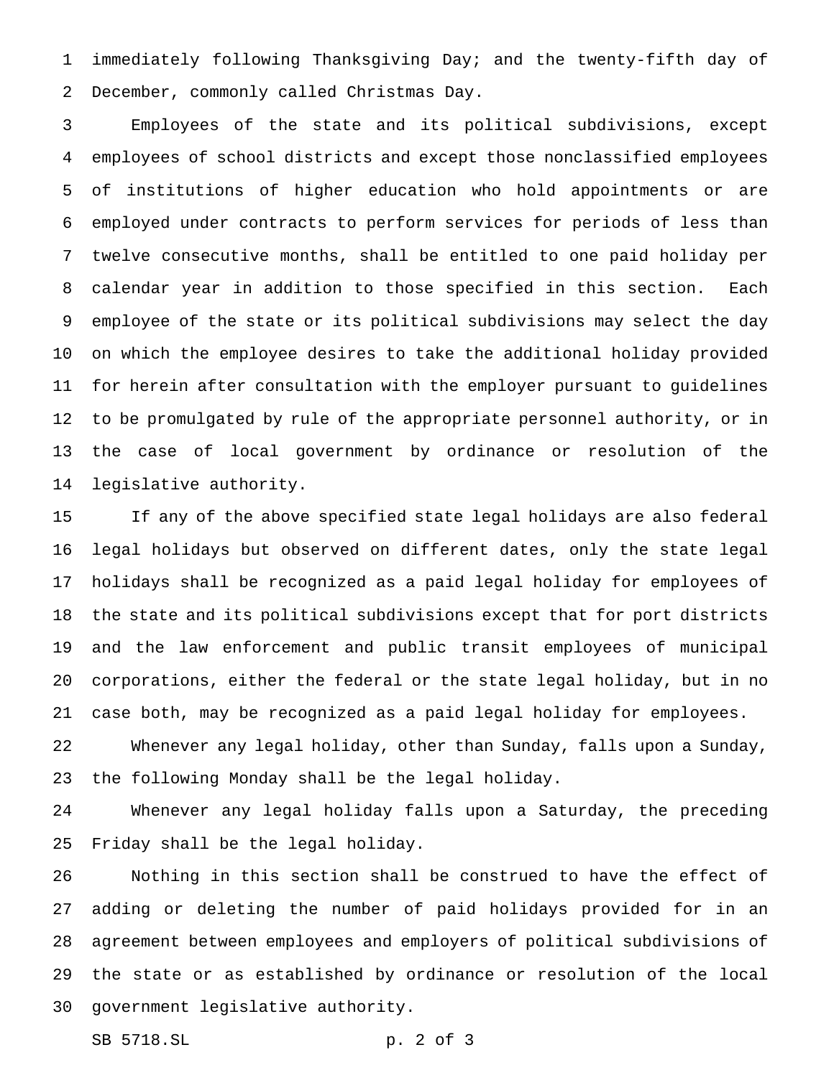immediately following Thanksgiving Day; and the twenty-fifth day of December, commonly called Christmas Day.

 Employees of the state and its political subdivisions, except employees of school districts and except those nonclassified employees of institutions of higher education who hold appointments or are employed under contracts to perform services for periods of less than twelve consecutive months, shall be entitled to one paid holiday per calendar year in addition to those specified in this section. Each employee of the state or its political subdivisions may select the day on which the employee desires to take the additional holiday provided for herein after consultation with the employer pursuant to guidelines to be promulgated by rule of the appropriate personnel authority, or in the case of local government by ordinance or resolution of the legislative authority.

 If any of the above specified state legal holidays are also federal legal holidays but observed on different dates, only the state legal holidays shall be recognized as a paid legal holiday for employees of the state and its political subdivisions except that for port districts and the law enforcement and public transit employees of municipal corporations, either the federal or the state legal holiday, but in no case both, may be recognized as a paid legal holiday for employees.

 Whenever any legal holiday, other than Sunday, falls upon a Sunday, the following Monday shall be the legal holiday.

 Whenever any legal holiday falls upon a Saturday, the preceding Friday shall be the legal holiday.

 Nothing in this section shall be construed to have the effect of adding or deleting the number of paid holidays provided for in an agreement between employees and employers of political subdivisions of the state or as established by ordinance or resolution of the local government legislative authority.

SB 5718.SL p. 2 of 3